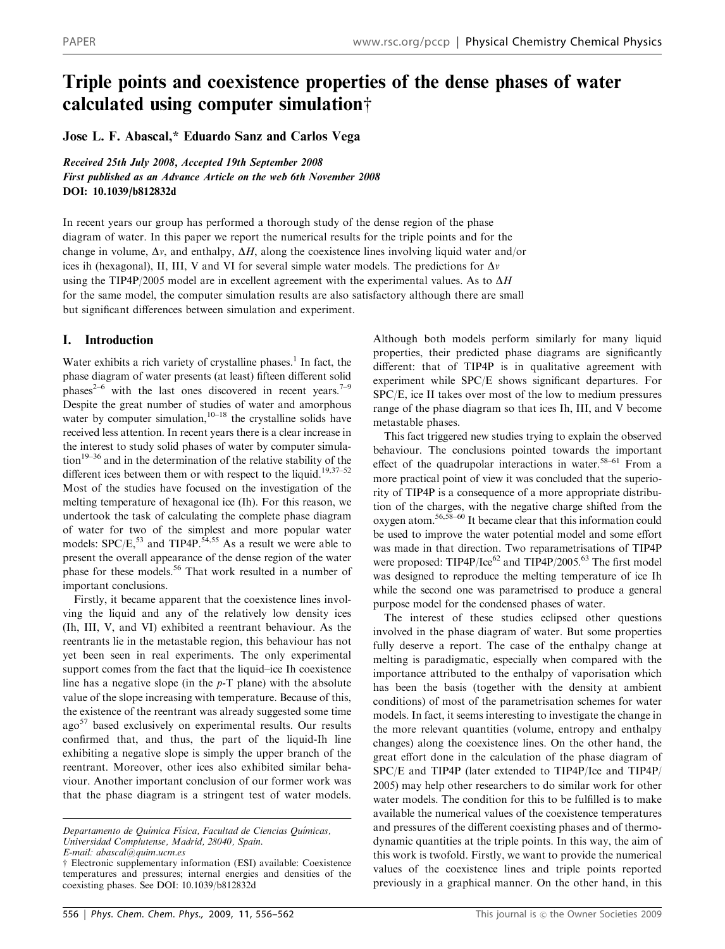# Triple points and coexistence properties of the dense phases of water calculated using computer simulation $\dagger$

Jose L. F. Abascal,\* Eduardo Sanz and Carlos Vega

Received 25th July 2008, Accepted 19th September 2008 First published as an Advance Article on the web 6th November 2008 DOI: 10.1039/b812832d

In recent years our group has performed a thorough study of the dense region of the phase diagram of water. In this paper we report the numerical results for the triple points and for the change in volume,  $\Delta v$ , and enthalpy,  $\Delta H$ , along the coexistence lines involving liquid water and/or ices ih (hexagonal), II, III, V and VI for several simple water models. The predictions for  $\Delta v$ using the TIP4P/2005 model are in excellent agreement with the experimental values. As to  $\Delta H$ for the same model, the computer simulation results are also satisfactory although there are small but significant differences between simulation and experiment.

# I. Introduction

Water exhibits a rich variety of crystalline phases.<sup>1</sup> In fact, the phase diagram of water presents (at least) fifteen different solid phases<sup>2–6</sup> with the last ones discovered in recent years.<sup>7–9</sup> Despite the great number of studies of water and amorphous water by computer simulation, $10-18$  the crystalline solids have received less attention. In recent years there is a clear increase in the interest to study solid phases of water by computer simulation<sup>19–36</sup> and in the determination of the relative stability of the different ices between them or with respect to the liquid.<sup>19,37–52</sup> Most of the studies have focused on the investigation of the melting temperature of hexagonal ice (Ih). For this reason, we undertook the task of calculating the complete phase diagram of water for two of the simplest and more popular water models:  $SPC/E$ ,<sup>53</sup> and TIP4P.<sup>54,55</sup> As a result we were able to present the overall appearance of the dense region of the water phase for these models.56 That work resulted in a number of important conclusions.

Firstly, it became apparent that the coexistence lines involving the liquid and any of the relatively low density ices (Ih, III, V, and VI) exhibited a reentrant behaviour. As the reentrants lie in the metastable region, this behaviour has not yet been seen in real experiments. The only experimental support comes from the fact that the liquid–ice Ih coexistence line has a negative slope (in the  $p-T$  plane) with the absolute value of the slope increasing with temperature. Because of this, the existence of the reentrant was already suggested some time ago<sup>57</sup> based exclusively on experimental results. Our results confirmed that, and thus, the part of the liquid-Ih line exhibiting a negative slope is simply the upper branch of the reentrant. Moreover, other ices also exhibited similar behaviour. Another important conclusion of our former work was that the phase diagram is a stringent test of water models.

Although both models perform similarly for many liquid properties, their predicted phase diagrams are significantly different: that of TIP4P is in qualitative agreement with experiment while SPC/E shows significant departures. For SPC/E, ice II takes over most of the low to medium pressures range of the phase diagram so that ices Ih, III, and V become metastable phases.

This fact triggered new studies trying to explain the observed behaviour. The conclusions pointed towards the important effect of the quadrupolar interactions in water.<sup>58–61</sup> From a more practical point of view it was concluded that the superiority of TIP4P is a consequence of a more appropriate distribution of the charges, with the negative charge shifted from the oxygen atom.56,58–60 It became clear that this information could be used to improve the water potential model and some effort was made in that direction. Two reparametrisations of TIP4P were proposed: TIP4P/Ice<sup>62</sup> and TIP4P/2005.<sup>63</sup> The first model was designed to reproduce the melting temperature of ice Ih while the second one was parametrised to produce a general purpose model for the condensed phases of water.

The interest of these studies eclipsed other questions involved in the phase diagram of water. But some properties fully deserve a report. The case of the enthalpy change at melting is paradigmatic, especially when compared with the importance attributed to the enthalpy of vaporisation which has been the basis (together with the density at ambient conditions) of most of the parametrisation schemes for water models. In fact, it seems interesting to investigate the change in the more relevant quantities (volume, entropy and enthalpy changes) along the coexistence lines. On the other hand, the great effort done in the calculation of the phase diagram of SPC/E and TIP4P (later extended to TIP4P/Ice and TIP4P/ 2005) may help other researchers to do similar work for other water models. The condition for this to be fulfilled is to make available the numerical values of the coexistence temperatures and pressures of the different coexisting phases and of thermodynamic quantities at the triple points. In this way, the aim of this work is twofold. Firstly, we want to provide the numerical values of the coexistence lines and triple points reported previously in a graphical manner. On the other hand, in this

Departamento de Química Física, Facultad de Ciencias Químicas, Universidad Complutense, Madrid, 28040, Spain.

E-mail: abascal@quim.ucm.es

<sup>†</sup> Electronic supplementary information (ESI) available: Coexistence temperatures and pressures; internal energies and densities of the coexisting phases. See DOI: 10.1039/b812832d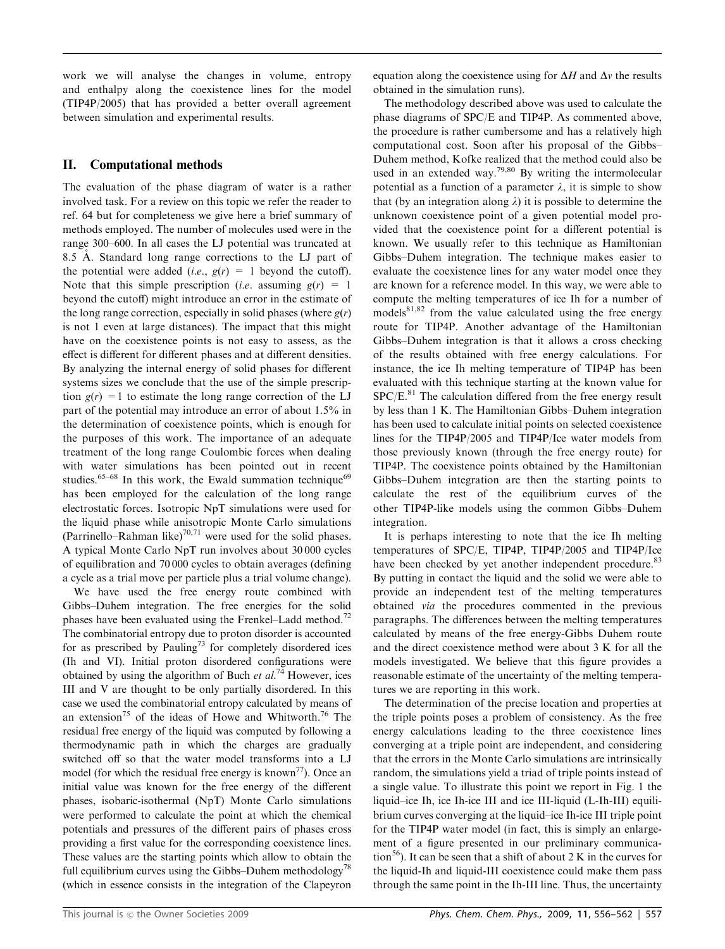work we will analyse the changes in volume, entropy and enthalpy along the coexistence lines for the model (TIP4P/2005) that has provided a better overall agreement between simulation and experimental results.

## II. Computational methods

The evaluation of the phase diagram of water is a rather involved task. For a review on this topic we refer the reader to ref. 64 but for completeness we give here a brief summary of methods employed. The number of molecules used were in the range 300–600. In all cases the LJ potential was truncated at 8.5 Å. Standard long range corrections to the LJ part of the potential were added (*i.e.*,  $g(r) = 1$  beyond the cutoff). Note that this simple prescription (*i.e.* assuming  $g(r) = 1$ beyond the cutoff) might introduce an error in the estimate of the long range correction, especially in solid phases (where  $g(r)$ ) is not 1 even at large distances). The impact that this might have on the coexistence points is not easy to assess, as the effect is different for different phases and at different densities. By analyzing the internal energy of solid phases for different systems sizes we conclude that the use of the simple prescription  $g(r) = 1$  to estimate the long range correction of the LJ part of the potential may introduce an error of about 1.5% in the determination of coexistence points, which is enough for the purposes of this work. The importance of an adequate treatment of the long range Coulombic forces when dealing with water simulations has been pointed out in recent studies.<sup>65-68</sup> In this work, the Ewald summation technique<sup>69</sup> has been employed for the calculation of the long range electrostatic forces. Isotropic NpT simulations were used for the liquid phase while anisotropic Monte Carlo simulations (Parrinello–Rahman like)<sup>70,71</sup> were used for the solid phases. A typical Monte Carlo NpT run involves about 30 000 cycles of equilibration and 70 000 cycles to obtain averages (defining a cycle as a trial move per particle plus a trial volume change).

We have used the free energy route combined with Gibbs–Duhem integration. The free energies for the solid phases have been evaluated using the Frenkel–Ladd method.<sup>72</sup> The combinatorial entropy due to proton disorder is accounted for as prescribed by Pauling<sup>73</sup> for completely disordered ices (Ih and VI). Initial proton disordered configurations were obtained by using the algorithm of Buch et  $al.^{74}$  However, ices III and V are thought to be only partially disordered. In this case we used the combinatorial entropy calculated by means of an extension<sup>75</sup> of the ideas of Howe and Whitworth.<sup>76</sup> The residual free energy of the liquid was computed by following a thermodynamic path in which the charges are gradually switched off so that the water model transforms into a LJ model (for which the residual free energy is known<sup>77</sup>). Once an initial value was known for the free energy of the different phases, isobaric-isothermal (NpT) Monte Carlo simulations were performed to calculate the point at which the chemical potentials and pressures of the different pairs of phases cross providing a first value for the corresponding coexistence lines. These values are the starting points which allow to obtain the full equilibrium curves using the Gibbs–Duhem methodology<sup>78</sup> (which in essence consists in the integration of the Clapeyron

equation along the coexistence using for  $\Delta H$  and  $\Delta v$  the results obtained in the simulation runs).

The methodology described above was used to calculate the phase diagrams of SPC/E and TIP4P. As commented above, the procedure is rather cumbersome and has a relatively high computational cost. Soon after his proposal of the Gibbs– Duhem method, Kofke realized that the method could also be used in an extended way.<sup>79,80</sup> By writing the intermolecular potential as a function of a parameter  $\lambda$ , it is simple to show that (by an integration along  $\lambda$ ) it is possible to determine the unknown coexistence point of a given potential model provided that the coexistence point for a different potential is known. We usually refer to this technique as Hamiltonian Gibbs–Duhem integration. The technique makes easier to evaluate the coexistence lines for any water model once they are known for a reference model. In this way, we were able to compute the melting temperatures of ice Ih for a number of models $81,82$  from the value calculated using the free energy route for TIP4P. Another advantage of the Hamiltonian Gibbs–Duhem integration is that it allows a cross checking of the results obtained with free energy calculations. For instance, the ice Ih melting temperature of TIP4P has been evaluated with this technique starting at the known value for  $SPC/E$ .<sup>81</sup> The calculation differed from the free energy result by less than 1 K. The Hamiltonian Gibbs–Duhem integration has been used to calculate initial points on selected coexistence lines for the TIP4P/2005 and TIP4P/Ice water models from those previously known (through the free energy route) for TIP4P. The coexistence points obtained by the Hamiltonian Gibbs–Duhem integration are then the starting points to calculate the rest of the equilibrium curves of the other TIP4P-like models using the common Gibbs–Duhem integration.

It is perhaps interesting to note that the ice Ih melting temperatures of SPC/E, TIP4P, TIP4P/2005 and TIP4P/Ice have been checked by yet another independent procedure.<sup>83</sup> By putting in contact the liquid and the solid we were able to provide an independent test of the melting temperatures obtained via the procedures commented in the previous paragraphs. The differences between the melting temperatures calculated by means of the free energy-Gibbs Duhem route and the direct coexistence method were about 3 K for all the models investigated. We believe that this figure provides a reasonable estimate of the uncertainty of the melting temperatures we are reporting in this work.

The determination of the precise location and properties at the triple points poses a problem of consistency. As the free energy calculations leading to the three coexistence lines converging at a triple point are independent, and considering that the errors in the Monte Carlo simulations are intrinsically random, the simulations yield a triad of triple points instead of a single value. To illustrate this point we report in Fig. 1 the liquid–ice Ih, ice Ih-ice III and ice III-liquid (L-Ih-III) equilibrium curves converging at the liquid–ice Ih-ice III triple point for the TIP4P water model (in fact, this is simply an enlargement of a figure presented in our preliminary communication<sup>56</sup>). It can be seen that a shift of about 2 K in the curves for the liquid-Ih and liquid-III coexistence could make them pass through the same point in the Ih-III line. Thus, the uncertainty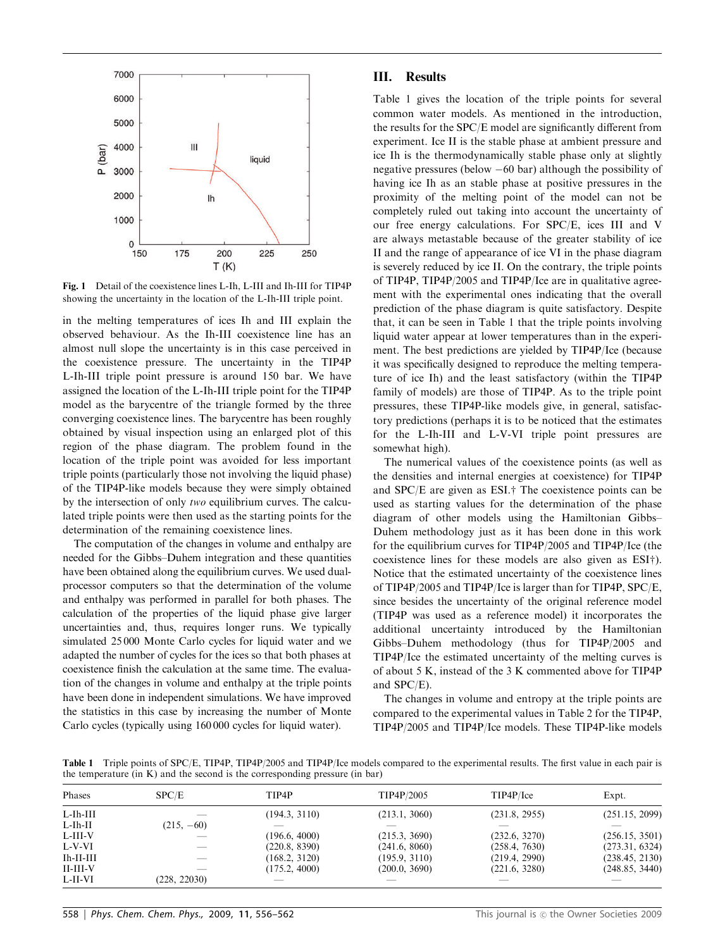

Fig. 1 Detail of the coexistence lines L-Ih, L-III and Ih-III for TIP4P showing the uncertainty in the location of the L-Ih-III triple point.

in the melting temperatures of ices Ih and III explain the observed behaviour. As the Ih-III coexistence line has an almost null slope the uncertainty is in this case perceived in the coexistence pressure. The uncertainty in the TIP4P L-Ih-III triple point pressure is around 150 bar. We have assigned the location of the L-Ih-III triple point for the TIP4P model as the barycentre of the triangle formed by the three converging coexistence lines. The barycentre has been roughly obtained by visual inspection using an enlarged plot of this region of the phase diagram. The problem found in the location of the triple point was avoided for less important triple points (particularly those not involving the liquid phase) of the TIP4P-like models because they were simply obtained by the intersection of only two equilibrium curves. The calculated triple points were then used as the starting points for the determination of the remaining coexistence lines.

The computation of the changes in volume and enthalpy are needed for the Gibbs–Duhem integration and these quantities have been obtained along the equilibrium curves. We used dualprocessor computers so that the determination of the volume and enthalpy was performed in parallel for both phases. The calculation of the properties of the liquid phase give larger uncertainties and, thus, requires longer runs. We typically simulated 25 000 Monte Carlo cycles for liquid water and we adapted the number of cycles for the ices so that both phases at coexistence finish the calculation at the same time. The evaluation of the changes in volume and enthalpy at the triple points have been done in independent simulations. We have improved the statistics in this case by increasing the number of Monte Carlo cycles (typically using 160 000 cycles for liquid water).

## III. Results

Table 1 gives the location of the triple points for several common water models. As mentioned in the introduction, the results for the SPC/E model are significantly different from experiment. Ice II is the stable phase at ambient pressure and ice Ih is the thermodynamically stable phase only at slightly negative pressures (below  $-60$  bar) although the possibility of having ice Ih as an stable phase at positive pressures in the proximity of the melting point of the model can not be completely ruled out taking into account the uncertainty of our free energy calculations. For SPC/E, ices III and V are always metastable because of the greater stability of ice II and the range of appearance of ice VI in the phase diagram is severely reduced by ice II. On the contrary, the triple points of TIP4P, TIP4P/2005 and TIP4P/Ice are in qualitative agreement with the experimental ones indicating that the overall prediction of the phase diagram is quite satisfactory. Despite that, it can be seen in Table 1 that the triple points involving liquid water appear at lower temperatures than in the experiment. The best predictions are yielded by TIP4P/Ice (because it was specifically designed to reproduce the melting temperature of ice Ih) and the least satisfactory (within the TIP4P family of models) are those of TIP4P. As to the triple point pressures, these TIP4P-like models give, in general, satisfactory predictions (perhaps it is to be noticed that the estimates for the L-Ih-III and L-V-VI triple point pressures are somewhat high).

The numerical values of the coexistence points (as well as the densities and internal energies at coexistence) for TIP4P and  $SPC/E$  are given as  $ESI. \dagger$ . The coexistence points can be used as starting values for the determination of the phase diagram of other models using the Hamiltonian Gibbs– Duhem methodology just as it has been done in this work for the equilibrium curves for TIP4P/2005 and TIP4P/Ice (the coexistence lines for these models are also given as  $ESI<sup>+</sup>$ ). Notice that the estimated uncertainty of the coexistence lines of TIP4P/2005 and TIP4P/Ice is larger than for TIP4P, SPC/E, since besides the uncertainty of the original reference model (TIP4P was used as a reference model) it incorporates the additional uncertainty introduced by the Hamiltonian Gibbs–Duhem methodology (thus for TIP4P/2005 and TIP4P/Ice the estimated uncertainty of the melting curves is of about 5 K, instead of the 3 K commented above for TIP4P and SPC/E).

The changes in volume and entropy at the triple points are compared to the experimental values in Table 2 for the TIP4P, TIP4P/2005 and TIP4P/Ice models. These TIP4P-like models

Table 1 Triple points of SPC/E, TIP4P, TIP4P/2005 and TIP4P/Ice models compared to the experimental results. The first value in each pair is the temperature (in K) and the second is the corresponding pressure (in bar)

| Phases      | SPC/E        | TIP4P         | TIP4P/2005    | TIP4P/Ice     | Expt.          |  |
|-------------|--------------|---------------|---------------|---------------|----------------|--|
| $L$ -Ih-III |              | (194.3, 3110) | (213.1, 3060) | (231.8, 2955) | (251.15, 2099) |  |
| $L$ -Ih-II  | $(215, -60)$ |               |               |               |                |  |
| $L$ -III-V  |              | (196.6, 4000) | (215.3, 3690) | (232.6, 3270) | (256.15, 3501) |  |
| $L-V-VI$    |              | (220.8, 8390) | (241.6, 8060) | (258.4, 7630) | (273.31, 6324) |  |
| $Ih-II-III$ |              | (168.2, 3120) | (195.9, 3110) | (219.4, 2990) | (238.45, 2130) |  |
| $II-III-V$  |              | (175.2, 4000) | (200.0, 3690) | (221.6, 3280) | (248.85, 3440) |  |
| $L$ -II-VI  | (228, 22030) |               |               |               |                |  |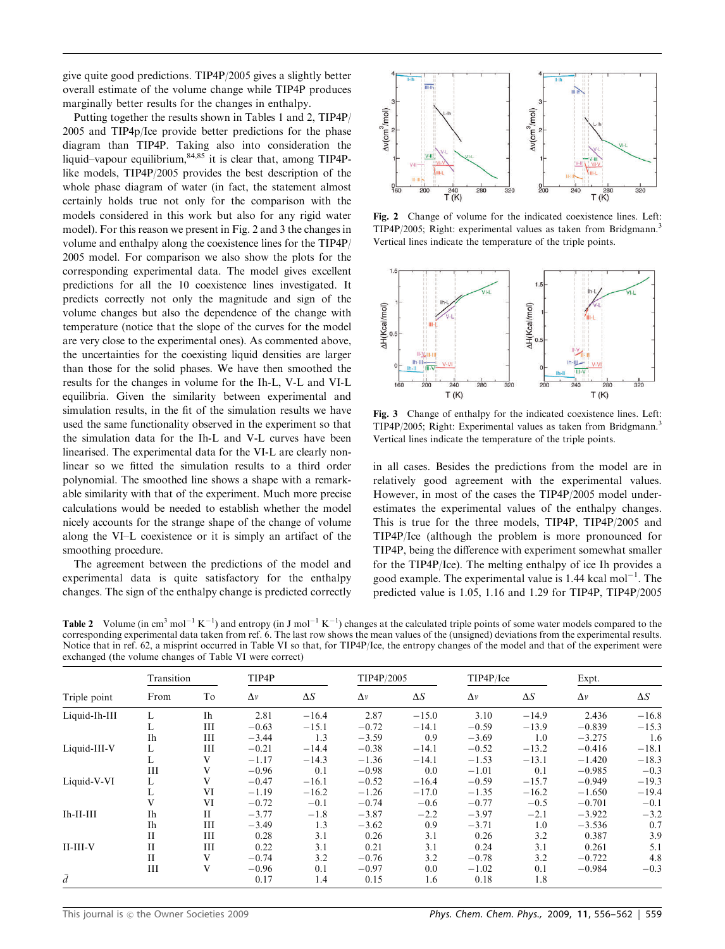give quite good predictions. TIP4P/2005 gives a slightly better overall estimate of the volume change while TIP4P produces marginally better results for the changes in enthalpy.

Putting together the results shown in Tables 1 and 2, TIP4P/ 2005 and TIP4p/Ice provide better predictions for the phase diagram than TIP4P. Taking also into consideration the liquid–vapour equilibrium,<sup>84,85</sup> it is clear that, among TIP4Plike models, TIP4P/2005 provides the best description of the whole phase diagram of water (in fact, the statement almost certainly holds true not only for the comparison with the models considered in this work but also for any rigid water model). For this reason we present in Fig. 2 and 3 the changes in volume and enthalpy along the coexistence lines for the TIP4P/ 2005 model. For comparison we also show the plots for the corresponding experimental data. The model gives excellent predictions for all the 10 coexistence lines investigated. It predicts correctly not only the magnitude and sign of the volume changes but also the dependence of the change with temperature (notice that the slope of the curves for the model are very close to the experimental ones). As commented above, the uncertainties for the coexisting liquid densities are larger than those for the solid phases. We have then smoothed the results for the changes in volume for the Ih-L, V-L and VI-L equilibria. Given the similarity between experimental and simulation results, in the fit of the simulation results we have used the same functionality observed in the experiment so that the simulation data for the Ih-L and V-L curves have been linearised. The experimental data for the VI-L are clearly nonlinear so we fitted the simulation results to a third order polynomial. The smoothed line shows a shape with a remarkable similarity with that of the experiment. Much more precise calculations would be needed to establish whether the model nicely accounts for the strange shape of the change of volume along the VI–L coexistence or it is simply an artifact of the smoothing procedure.

The agreement between the predictions of the model and experimental data is quite satisfactory for the enthalpy changes. The sign of the enthalpy change is predicted correctly



Fig. 2 Change of volume for the indicated coexistence lines. Left: TIP4P/2005; Right: experimental values as taken from Bridgmann.<sup>3</sup> Vertical lines indicate the temperature of the triple points.



Fig. 3 Change of enthalpy for the indicated coexistence lines. Left: TIP4P/2005; Right: Experimental values as taken from Bridgmann.<sup>3</sup> Vertical lines indicate the temperature of the triple points.

in all cases. Besides the predictions from the model are in relatively good agreement with the experimental values. However, in most of the cases the TIP4P/2005 model underestimates the experimental values of the enthalpy changes. This is true for the three models, TIP4P, TIP4P/2005 and TIP4P/Ice (although the problem is more pronounced for TIP4P, being the difference with experiment somewhat smaller for the TIP4P/Ice). The melting enthalpy of ice Ih provides a good example. The experimental value is  $1.44$  kcal mol<sup>-1</sup>. The predicted value is 1.05, 1.16 and 1.29 for TIP4P, TIP4P/2005

**Table 2** Volume (in cm<sup>3</sup> mol<sup>-1</sup> K<sup>-1</sup>) and entropy (in J mol<sup>-1</sup> K<sup>-1</sup>) changes at the calculated triple points of some water models compared to the corresponding experimental data taken from ref. 6. The last row shows the mean values of the (unsigned) deviations from the experimental results. Notice that in ref. 62, a misprint occurred in Table VI so that, for TIP4P/Ice, the entropy changes of the model and that of the experiment were exchanged (the volume changes of Table VI were correct)

| Triple point  | Transition  |             | TIP4P      |            | TIP4P/2005 |            | TIP4P/Ice  |            | Expt.      |            |
|---------------|-------------|-------------|------------|------------|------------|------------|------------|------------|------------|------------|
|               | From        | Tо          | $\Delta v$ | $\Delta S$ | $\Delta v$ | $\Delta S$ | $\Delta v$ | $\Delta S$ | $\Delta v$ | $\Delta S$ |
| Liquid-Ih-III |             | Ih          | 2.81       | $-16.4$    | 2.87       | $-15.0$    | 3.10       | $-14.9$    | 2.436      | $-16.8$    |
|               | L           | Ш           | $-0.63$    | $-15.1$    | $-0.72$    | $-14.1$    | $-0.59$    | $-13.9$    | $-0.839$   | $-15.3$    |
|               | Ih          | Ш           | $-3.44$    | 1.3        | $-3.59$    | 0.9        | $-3.69$    | 1.0        | $-3.275$   | 1.6        |
| Liquid-III-V  | L           | Ш           | $-0.21$    | $-14.4$    | $-0.38$    | $-14.1$    | $-0.52$    | $-13.2$    | $-0.416$   | $-18.1$    |
|               | L           | V           | $-1.17$    | $-14.3$    | $-1.36$    | $-14.1$    | $-1.53$    | $-13.1$    | $-1.420$   | $-18.3$    |
|               | Ш           | v           | $-0.96$    | 0.1        | $-0.98$    | 0.0        | $-1.01$    | 0.1        | $-0.985$   | $-0.3$     |
| Liquid-V-VI   | L           | V           | $-0.47$    | $-16.1$    | $-0.52$    | $-16.4$    | $-0.59$    | $-15.7$    | $-0.949$   | $-19.3$    |
|               | L           | VI          | $-1.19$    | $-16.2$    | $-1.26$    | $-17.0$    | $-1.35$    | $-16.2$    | $-1.650$   | $-19.4$    |
|               | V           | VI          | $-0.72$    | $-0.1$     | $-0.74$    | $-0.6$     | $-0.77$    | $-0.5$     | $-0.701$   | $-0.1$     |
| $Ih-II-III$   | Ih          | $_{\rm II}$ | $-3.77$    | $-1.8$     | $-3.87$    | $-2.2$     | $-3.97$    | $-2.1$     | $-3.922$   | $-3.2$     |
|               | Ih          | Ш           | $-3.49$    | 1.3        | $-3.62$    | 0.9        | $-3.71$    | 1.0        | $-3.536$   | 0.7        |
|               | $_{\rm II}$ | Ш           | 0.28       | 3.1        | 0.26       | 3.1        | 0.26       | 3.2        | 0.387      | 3.9        |
| $II-III-V$    | $_{\rm II}$ | Ш           | 0.22       | 3.1        | 0.21       | 3.1        | 0.24       | 3.1        | 0.261      | 5.1        |
|               | $_{\rm II}$ | V           | $-0.74$    | 3.2        | $-0.76$    | 3.2        | $-0.78$    | 3.2        | $-0.722$   | 4.8        |
|               | Ш           | v           | $-0.96$    | 0.1        | $-0.97$    | 0.0        | $-1.02$    | 0.1        | $-0.984$   | $-0.3$     |
| $\bar{d}$     |             |             | 0.17       | 1.4        | 0.15       | 1.6        | 0.18       | 1.8        |            |            |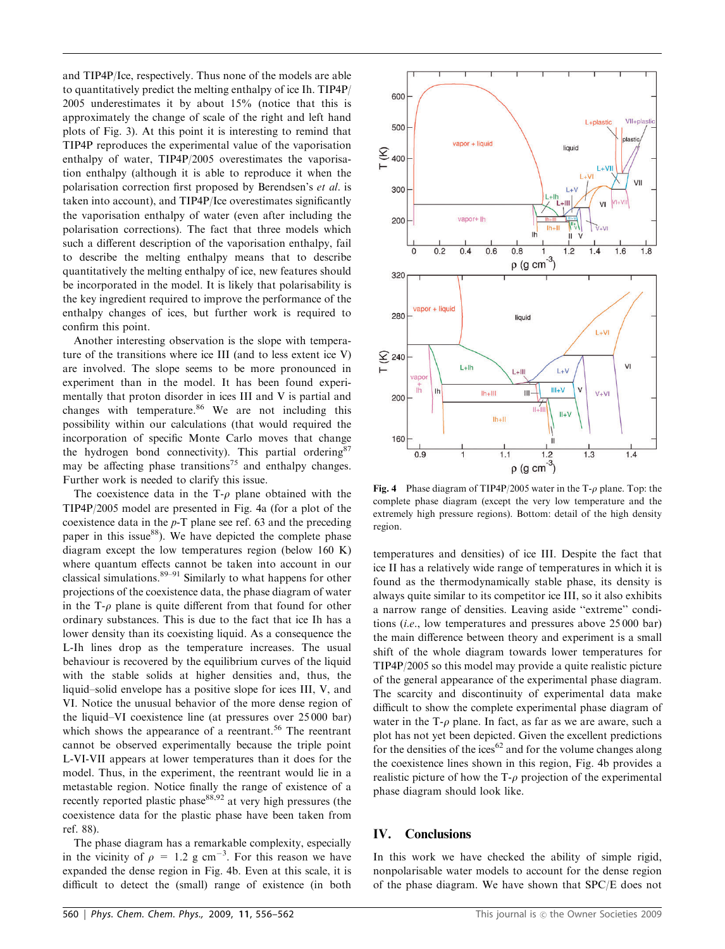and TIP4P/Ice, respectively. Thus none of the models are able to quantitatively predict the melting enthalpy of ice Ih. TIP4P/ 2005 underestimates it by about 15% (notice that this is approximately the change of scale of the right and left hand plots of Fig. 3). At this point it is interesting to remind that TIP4P reproduces the experimental value of the vaporisation enthalpy of water, TIP4P/2005 overestimates the vaporisation enthalpy (although it is able to reproduce it when the polarisation correction first proposed by Berendsen's et al. is taken into account), and TIP4P/Ice overestimates significantly the vaporisation enthalpy of water (even after including the polarisation corrections). The fact that three models which such a different description of the vaporisation enthalpy, fail to describe the melting enthalpy means that to describe quantitatively the melting enthalpy of ice, new features should be incorporated in the model. It is likely that polarisability is the key ingredient required to improve the performance of the enthalpy changes of ices, but further work is required to confirm this point.

Another interesting observation is the slope with temperature of the transitions where ice III (and to less extent ice V) are involved. The slope seems to be more pronounced in experiment than in the model. It has been found experimentally that proton disorder in ices III and V is partial and changes with temperature. $86$  We are not including this possibility within our calculations (that would required the incorporation of specific Monte Carlo moves that change the hydrogen bond connectivity). This partial ordering  $87$ may be affecting phase transitions<sup>75</sup> and enthalpy changes. Further work is needed to clarify this issue.

The coexistence data in the  $T-\rho$  plane obtained with the TIP4P/2005 model are presented in Fig. 4a (for a plot of the coexistence data in the p-T plane see ref. 63 and the preceding paper in this issue<sup>88</sup>). We have depicted the complete phase diagram except the low temperatures region (below 160 K) where quantum effects cannot be taken into account in our classical simulations. $89-91$  Similarly to what happens for other projections of the coexistence data, the phase diagram of water in the  $T-\rho$  plane is quite different from that found for other ordinary substances. This is due to the fact that ice Ih has a lower density than its coexisting liquid. As a consequence the L-Ih lines drop as the temperature increases. The usual behaviour is recovered by the equilibrium curves of the liquid with the stable solids at higher densities and, thus, the liquid–solid envelope has a positive slope for ices III, V, and VI. Notice the unusual behavior of the more dense region of the liquid–VI coexistence line (at pressures over 25 000 bar) which shows the appearance of a reentrant.<sup>56</sup> The reentrant cannot be observed experimentally because the triple point L-VI-VII appears at lower temperatures than it does for the model. Thus, in the experiment, the reentrant would lie in a metastable region. Notice finally the range of existence of a recently reported plastic phase  $88,92$  at very high pressures (the coexistence data for the plastic phase have been taken from ref. 88).

The phase diagram has a remarkable complexity, especially in the vicinity of  $\rho = 1.2$  g cm<sup>-3</sup>. For this reason we have expanded the dense region in Fig. 4b. Even at this scale, it is difficult to detect the (small) range of existence (in both



Fig. 4 Phase diagram of TIP4P/2005 water in the T- $\rho$  plane. Top: the complete phase diagram (except the very low temperature and the extremely high pressure regions). Bottom: detail of the high density region.

temperatures and densities) of ice III. Despite the fact that ice II has a relatively wide range of temperatures in which it is found as the thermodynamically stable phase, its density is always quite similar to its competitor ice III, so it also exhibits a narrow range of densities. Leaving aside ''extreme'' conditions (i.e., low temperatures and pressures above 25 000 bar) the main difference between theory and experiment is a small shift of the whole diagram towards lower temperatures for TIP4P/2005 so this model may provide a quite realistic picture of the general appearance of the experimental phase diagram. The scarcity and discontinuity of experimental data make difficult to show the complete experimental phase diagram of water in the  $T-\rho$  plane. In fact, as far as we are aware, such a plot has not yet been depicted. Given the excellent predictions for the densities of the ices<sup>62</sup> and for the volume changes along the coexistence lines shown in this region, Fig. 4b provides a realistic picture of how the  $T-\rho$  projection of the experimental phase diagram should look like.

## IV. Conclusions

In this work we have checked the ability of simple rigid, nonpolarisable water models to account for the dense region of the phase diagram. We have shown that SPC/E does not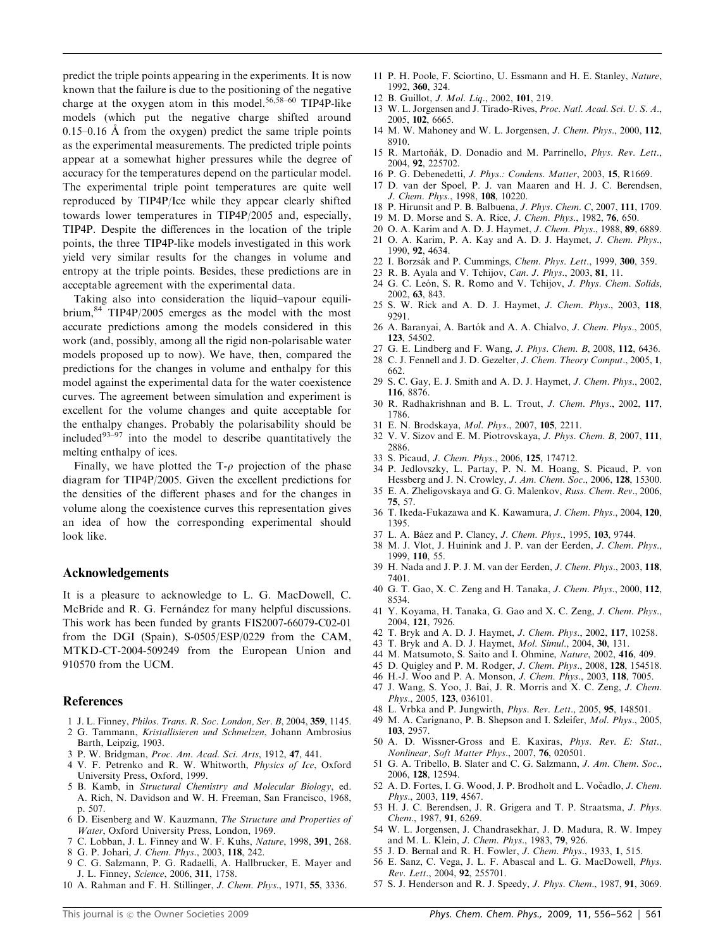predict the triple points appearing in the experiments. It is now known that the failure is due to the positioning of the negative charge at the oxygen atom in this model.<sup>56,58-60</sup> TIP4P-like models (which put the negative charge shifted around  $0.15-0.16$  Å from the oxygen) predict the same triple points as the experimental measurements. The predicted triple points appear at a somewhat higher pressures while the degree of accuracy for the temperatures depend on the particular model. The experimental triple point temperatures are quite well reproduced by TIP4P/Ice while they appear clearly shifted towards lower temperatures in TIP4P/2005 and, especially, TIP4P. Despite the differences in the location of the triple points, the three TIP4P-like models investigated in this work yield very similar results for the changes in volume and entropy at the triple points. Besides, these predictions are in acceptable agreement with the experimental data.

Taking also into consideration the liquid–vapour equilibrium,  $84$  TIP4P/2005 emerges as the model with the most accurate predictions among the models considered in this work (and, possibly, among all the rigid non-polarisable water models proposed up to now). We have, then, compared the predictions for the changes in volume and enthalpy for this model against the experimental data for the water coexistence curves. The agreement between simulation and experiment is excellent for the volume changes and quite acceptable for the enthalpy changes. Probably the polarisability should be included $93-97$  into the model to describe quantitatively the melting enthalpy of ices.

Finally, we have plotted the  $T-\rho$  projection of the phase diagram for TIP4P/2005. Given the excellent predictions for the densities of the different phases and for the changes in volume along the coexistence curves this representation gives an idea of how the corresponding experimental should look like.

#### Acknowledgements

It is a pleasure to acknowledge to L. G. MacDowell, C. McBride and R. G. Fernandez for many helpful discussions. This work has been funded by grants FIS2007-66079-C02-01 from the DGI (Spain), S-0505/ESP/0229 from the CAM, MTKD-CT-2004-509249 from the European Union and 910570 from the UCM.

#### References

- 1 J. L. Finney, Philos. Trans. R. Soc. London, Ser. B, 2004, 359, 1145.
- 2 G. Tammann, Kristallisieren und Schmelzen, Johann Ambrosius Barth, Leipzig, 1903.
- 3 P. W. Bridgman, Proc. Am. Acad. Sci. Arts, 1912, 47, 441.
- 4 V. F. Petrenko and R. W. Whitworth, Physics of Ice, Oxford University Press, Oxford, 1999. 5 B. Kamb, in Structural Chemistry and Molecular Biology, ed.
- A. Rich, N. Davidson and W. H. Freeman, San Francisco, 1968, p. 507.
- 6 D. Eisenberg and W. Kauzmann, The Structure and Properties of Water, Oxford University Press, London, 1969.
- 7 C. Lobban, J. L. Finney and W. F. Kuhs, Nature, 1998, 391, 268.
- 8 G. P. Johari, J. Chem. Phys., 2003, 118, 242.
- 9 C. G. Salzmann, P. G. Radaelli, A. Hallbrucker, E. Mayer and J. L. Finney, Science, 2006, 311, 1758.
- 10 A. Rahman and F. H. Stillinger, J. Chem. Phys., 1971, 55, 3336.
- 11 P. H. Poole, F. Sciortino, U. Essmann and H. E. Stanley, Nature, 1992, 360, 324.
- 12 B. Guillot, J. Mol. Liq., 2002, 101, 219.
- 13 W. L. Jorgensen and J. Tirado-Rives, Proc. Natl. Acad. Sci. U. S. A., 2005, 102, 6665.
- 14 M. W. Mahoney and W. L. Jorgensen, J. Chem. Phys., 2000, 112, 8910.
- 15 R. Martoňák, D. Donadio and M. Parrinello, Phys. Rev. Lett., 2004, 92, 225702.
- 16 P. G. Debenedetti, J. Phys.: Condens. Matter, 2003, 15, R1669.
- 17 D. van der Spoel, P. J. van Maaren and H. J. C. Berendsen, J. Chem. Phys., 1998, 108, 10220.
- 18 P. Hirunsit and P. B. Balbuena, J. Phys. Chem. C, 2007, 111, 1709.
- 19 M. D. Morse and S. A. Rice, J. Chem. Phys., 1982, 76, 650.
- 20 O. A. Karim and A. D. J. Haymet, J. Chem. Phys., 1988, 89, 6889.
- 21 O. A. Karim, P. A. Kay and A. D. J. Haymet, J. Chem. Phys., 1990, 92, 4634.
- 22 I. Borzsák and P. Cummings, Chem. Phys. Lett., 1999, 300, 359.
- 23 R. B. Ayala and V. Tchijov, Can. J. Phys., 2003, 81, 11.
- 24 G. C. León, S. R. Romo and V. Tchijov, J. Phys. Chem. Solids, 2002, 63, 843.
- 25 S. W. Rick and A. D. J. Haymet, J. Chem. Phys., 2003, 118, 9291.
- 26 A. Baranyai, A. Bartók and A. A. Chialvo, J. Chem. Phys., 2005, 123, 54502.
- 27 G. E. Lindberg and F. Wang, J. Phys. Chem. B, 2008, 112, 6436.
- 28 C. J. Fennell and J. D. Gezelter, J. Chem. Theory Comput., 2005, 1, 662.
- 29 S. C. Gay, E. J. Smith and A. D. J. Haymet, J. Chem. Phys., 2002, 116, 8876.
- 30 R. Radhakrishnan and B. L. Trout, J. Chem. Phys., 2002, 117, 1786.
- 31 E. N. Brodskaya, Mol. Phys., 2007, 105, 2211.
- 32 V. V. Sizov and E. M. Piotrovskaya, J. Phys. Chem. B, 2007, 111, 2886.
- 33 S. Picaud, J. Chem. Phys., 2006, 125, 174712.
- 34 P. Jedlovszky, L. Partay, P. N. M. Hoang, S. Picaud, P. von Hessberg and J. N. Crowley, J. Am. Chem. Soc., 2006, 128, 15300.
- 35 E. A. Zheligovskaya and G. G. Malenkov, Russ. Chem. Rev., 2006, 75, 57.
- 36 T. Ikeda-Fukazawa and K. Kawamura, J. Chem. Phys., 2004, 120, 1395.
- 37 L. A. Báez and P. Clancy, J. Chem. Phys., 1995, 103, 9744.
- 38 M. J. Vlot, J. Huinink and J. P. van der Eerden, J. Chem. Phys., 1999, 110, 55.
- 39 H. Nada and J. P. J. M. van der Eerden, J. Chem. Phys., 2003, 118, 7401.
- 40 G. T. Gao, X. C. Zeng and H. Tanaka, J. Chem. Phys., 2000, 112, 8534.
- 41 Y. Koyama, H. Tanaka, G. Gao and X. C. Zeng, J. Chem. Phys., 2004, 121, 7926.
- 42 T. Bryk and A. D. J. Haymet, J. Chem. Phys., 2002, 117, 10258.
- 43 T. Bryk and A. D. J. Haymet, Mol. Simul., 2004, 30, 131.
- 44 M. Matsumoto, S. Saito and I. Ohmine, Nature, 2002, 416, 409.
- 45 D. Quigley and P. M. Rodger, J. Chem. Phys., 2008, 128, 154518.
- 46 H.-J. Woo and P. A. Monson, J. Chem. Phys., 2003, 118, 7005.
- 47 J. Wang, S. Yoo, J. Bai, J. R. Morris and X. C. Zeng, J. Chem. Phys., 2005, 123, 036101.
- 48 L. Vrbka and P. Jungwirth, Phys. Rev. Lett., 2005, 95, 148501.
- 49 M. A. Carignano, P. B. Shepson and I. Szleifer, Mol. Phys., 2005, 103, 2957.
- 50 A. D. Wissner-Gross and E. Kaxiras, Phys. Rev. E: Stat., Nonlinear, Soft Matter Phys., 2007, 76, 020501.
- 51 G. A. Tribello, B. Slater and C. G. Salzmann, J. Am. Chem. Soc., 2006, 128, 12594.
- 52 A. D. Fortes, I. G. Wood, J. P. Brodholt and L. Vočadlo, J. Chem. Phys., 2003, 119, 4567.
- 53 H. J. C. Berendsen, J. R. Grigera and T. P. Straatsma, J. Phys. Chem., 1987, 91, 6269.
- 54 W. L. Jorgensen, J. Chandrasekhar, J. D. Madura, R. W. Impey
- and M. L. Klein, J. Chem. Phys., 1983, 79, 926. 55 J. D. Bernal and R. H. Fowler, J. Chem. Phys., 1933, 1, 515.
- 56 E. Sanz, C. Vega, J. L. F. Abascal and L. G. MacDowell, Phys.
- Rev. Lett., 2004, 92, 255701.
- 57 S. J. Henderson and R. J. Speedy, J. Phys. Chem., 1987, 91, 3069.